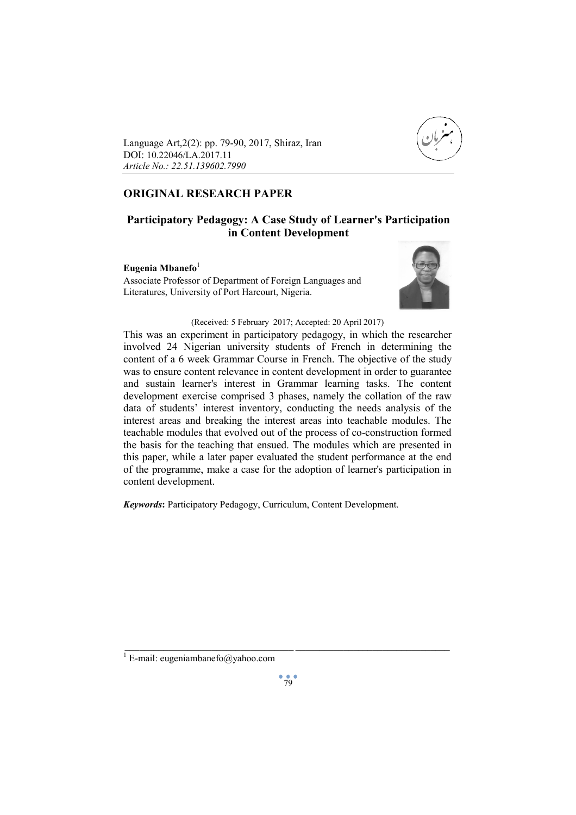

Language Art,2(2): pp. 79-90, 2017, Shiraz, Iran DOI: 10.22046/LA.2017.11 *Article No.: 22.51.139602.7990*

# **ORIGINAL RESEARCH PAPER**

# **Participatory Pedagogy: A Case Study of Learner's Participation in Content Development**

# Eugenia Mbanefo<sup>1</sup>

Associate Professor of Department of Foreign Languages and Literatures, University of Port Harcourt, Nigeria.



# (Received: 5 February 2017; Accepted: 20 April 2017)

This was an experiment in participatory pedagogy, in which the researcher involved 24 Nigerian university students of French in determining the content of a 6 week Grammar Course in French. The objective of the study was to ensure content relevance in content development in order to guarantee and sustain learner's interest in Grammar learning tasks. The content development exercise comprised 3 phases, namely the collation of the raw data of students' interest inventory, conducting the needs analysis of the interest areas and breaking the interest areas into teachable modules. The teachable modules that evolved out of the process of co-construction formed the basis for the teaching that ensued. The modules which are presented in this paper, while a later paper evaluated the student performance at the end of the programme, make a case for the adoption of learner's participation in content development.

*Keywords***:** Participatory Pedagogy, Curriculum, Content Development.

 $\frac{1}{2}$  , and the set of the set of the set of the set of the set of the set of the set of the set of the set of the set of the set of the set of the set of the set of the set of the set of the set of the set of the set

<sup>&</sup>lt;sup>1</sup> E-mail: eugeniambanefo@yahoo.com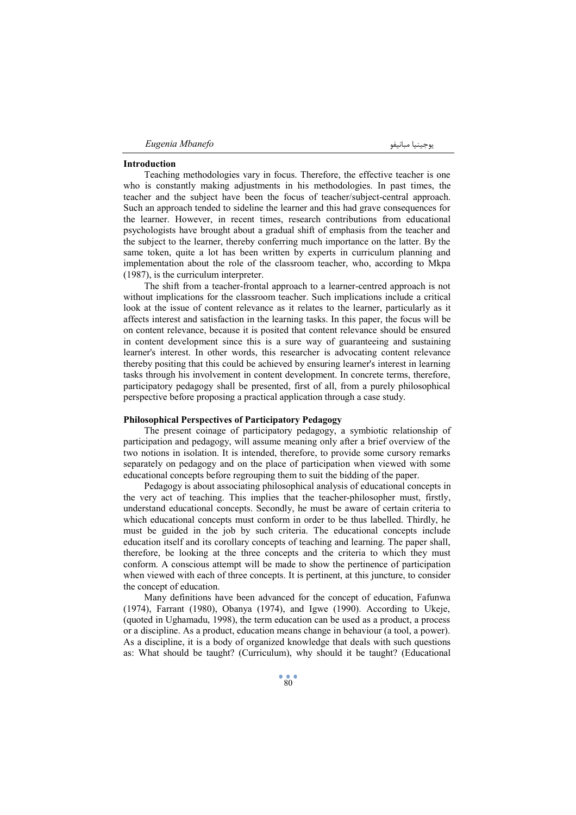| Eugenia Mbanefo | المحتنيا متانيفه<br>. |
|-----------------|-----------------------|
|                 |                       |

#### **Introduction**

Teaching methodologies vary in focus. Therefore, the effective teacher is one who is constantly making adjustments in his methodologies. In past times, the teacher and the subject have been the focus of teacher/subject-central approach. Such an approach tended to sideline the learner and this had grave consequences for the learner. However, in recent times, research contributions from educational psychologists have brought about a gradual shift of emphasis from the teacher and the subject to the learner, thereby conferring much importance on the latter. By the same token, quite a lot has been written by experts in curriculum planning and implementation about the role of the classroom teacher, who, according to Mkpa (1987), is the curriculum interpreter.

The shift from a teacher-frontal approach to a learner-centred approach is not without implications for the classroom teacher. Such implications include a critical look at the issue of content relevance as it relates to the learner, particularly as it affects interest and satisfaction in the learning tasks. In this paper, the focus will be on content relevance, because it is posited that content relevance should be ensured in content development since this is a sure way of guaranteeing and sustaining learner's interest. In other words, this researcher is advocating content relevance thereby positing that this could be achieved by ensuring learner's interest in learning tasks through his involvement in content development. In concrete terms, therefore, participatory pedagogy shall be presented, first of all, from a purely philosophical perspective before proposing a practical application through a case study.

#### **Philosophical Perspectives of Participatory Pedagogy**

The present coinage of participatory pedagogy, a symbiotic relationship of participation and pedagogy, will assume meaning only after a brief overview of the two notions in isolation. It is intended, therefore, to provide some cursory remarks separately on pedagogy and on the place of participation when viewed with some educational concepts before regrouping them to suit the bidding of the paper.

Pedagogy is about associating philosophical analysis of educational concepts in the very act of teaching. This implies that the teacher-philosopher must, firstly, understand educational concepts. Secondly, he must be aware of certain criteria to which educational concepts must conform in order to be thus labelled. Thirdly, he must be guided in the job by such criteria. The educational concepts include education itself and its corollary concepts of teaching and learning. The paper shall, therefore, be looking at the three concepts and the criteria to which they must conform. A conscious attempt will be made to show the pertinence of participation when viewed with each of three concepts. It is pertinent, at this juncture, to consider the concept of education.

Many definitions have been advanced for the concept of education, Fafunwa (1974), Farrant (1980), Obanya (1974), and Igwe (1990). According to Ukeje, (quoted in Ughamadu, 1998), the term education can be used as a product, a process or a discipline. As a product, education means change in behaviour (a tool, a power). As a discipline, it is a body of organized knowledge that deals with such questions as: What should be taught? (Curriculum), why should it be taught? (Educational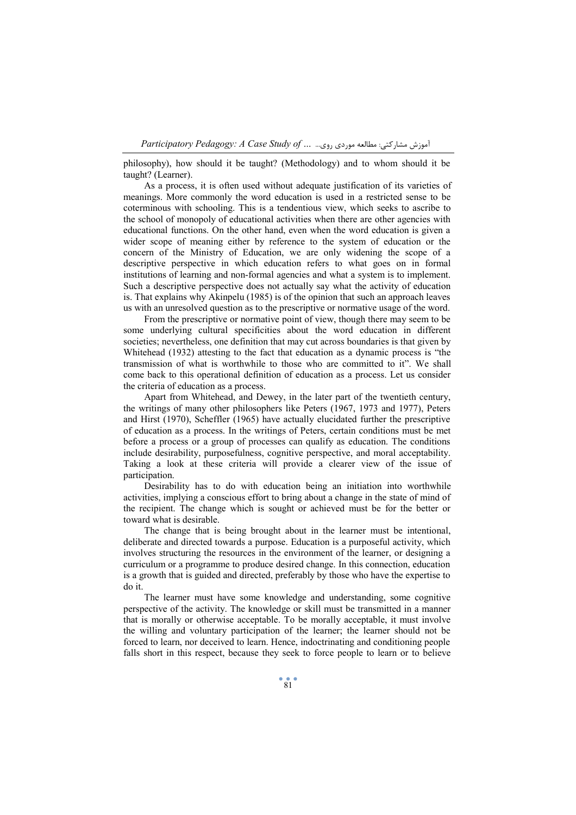philosophy), how should it be taught? (Methodology) and to whom should it be taught? (Learner).

As a process, it is often used without adequate justification of its varieties of meanings. More commonly the word education is used in a restricted sense to be coterminous with schooling. This is a tendentious view, which seeks to ascribe to the school of monopoly of educational activities when there are other agencies with educational functions. On the other hand, even when the word education is given a wider scope of meaning either by reference to the system of education or the concern of the Ministry of Education, we are only widening the scope of a descriptive perspective in which education refers to what goes on in formal institutions of learning and non-formal agencies and what a system is to implement. Such a descriptive perspective does not actually say what the activity of education is. That explains why Akinpelu (1985) is of the opinion that such an approach leaves us with an unresolved question as to the prescriptive or normative usage of the word.

From the prescriptive or normative point of view, though there may seem to be some underlying cultural specificities about the word education in different societies; nevertheless, one definition that may cut across boundaries is that given by Whitehead (1932) attesting to the fact that education as a dynamic process is "the transmission of what is worthwhile to those who are committed to it". We shall come back to this operational definition of education as a process. Let us consider the criteria of education as a process.

Apart from Whitehead, and Dewey, in the later part of the twentieth century, the writings of many other philosophers like Peters (1967, 1973 and 1977), Peters and Hirst (1970), Scheffler (1965) have actually elucidated further the prescriptive of education as a process. In the writings of Peters, certain conditions must be met before a process or a group of processes can qualify as education. The conditions include desirability, purposefulness, cognitive perspective, and moral acceptability. Taking a look at these criteria will provide a clearer view of the issue of participation.

Desirability has to do with education being an initiation into worthwhile activities, implying a conscious effort to bring about a change in the state of mind of the recipient. The change which is sought or achieved must be for the better or toward what is desirable.

The change that is being brought about in the learner must be intentional, deliberate and directed towards a purpose. Education is a purposeful activity, which involves structuring the resources in the environment of the learner, or designing a curriculum or a programme to produce desired change. In this connection, education is a growth that is guided and directed, preferably by those who have the expertise to do it.

The learner must have some knowledge and understanding, some cognitive perspective of the activity. The knowledge or skill must be transmitted in a manner that is morally or otherwise acceptable. To be morally acceptable, it must involve the willing and voluntary participation of the learner; the learner should not be forced to learn, nor deceived to learn. Hence, indoctrinating and conditioning people falls short in this respect, because they seek to force people to learn or to believe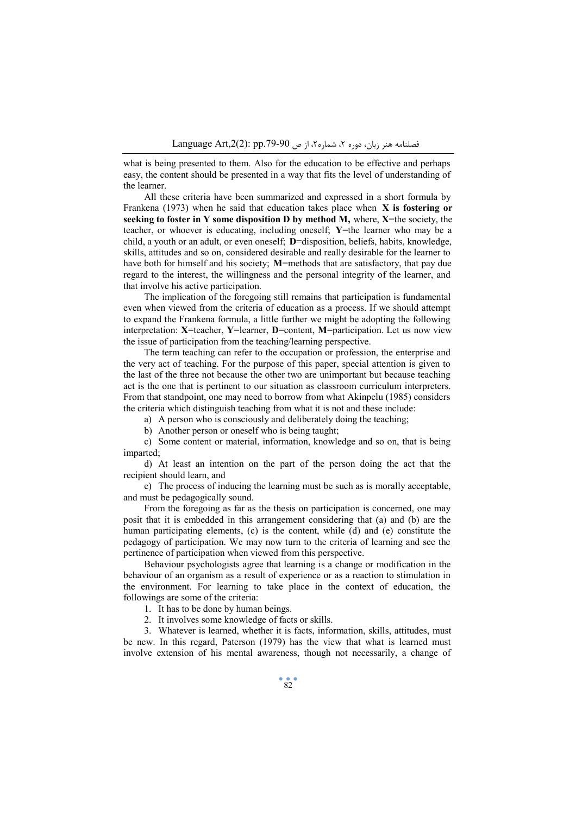what is being presented to them. Also for the education to be effective and perhaps easy, the content should be presented in a way that fits the level of understanding of the learner.

All these criteria have been summarized and expressed in a short formula by Frankena (1973) when he said that education takes place when **X is fostering or seeking to foster in Y some disposition D by method M,** where, **X**=the society, the teacher, or whoever is educating, including oneself; **Y**=the learner who may be a child, a youth or an adult, or even oneself; **D**=disposition, beliefs, habits, knowledge, skills, attitudes and so on, considered desirable and really desirable for the learner to have both for himself and his society; **M**=methods that are satisfactory, that pay due regard to the interest, the willingness and the personal integrity of the learner, and that involve his active participation.

The implication of the foregoing still remains that participation is fundamental even when viewed from the criteria of education as a process. If we should attempt to expand the Frankena formula, a little further we might be adopting the following interpretation: **X**=teacher, **Y**=learner, **D**=content, **M**=participation. Let us now view the issue of participation from the teaching/learning perspective.

The term teaching can refer to the occupation or profession, the enterprise and the very act of teaching. For the purpose of this paper, special attention is given to the last of the three not because the other two are unimportant but because teaching act is the one that is pertinent to our situation as classroom curriculum interpreters. From that standpoint, one may need to borrow from what Akinpelu (1985) considers the criteria which distinguish teaching from what it is not and these include:

a) A person who is consciously and deliberately doing the teaching;

b) Another person or oneself who is being taught;

c) Some content or material, information, knowledge and so on, that is being imparted;

d) At least an intention on the part of the person doing the act that the recipient should learn, and

e) The process of inducing the learning must be such as is morally acceptable, and must be pedagogically sound.

From the foregoing as far as the thesis on participation is concerned, one may posit that it is embedded in this arrangement considering that (a) and (b) are the human participating elements, (c) is the content, while (d) and (e) constitute the pedagogy of participation. We may now turn to the criteria of learning and see the pertinence of participation when viewed from this perspective.

Behaviour psychologists agree that learning is a change or modification in the behaviour of an organism as a result of experience or as a reaction to stimulation in the environment. For learning to take place in the context of education, the followings are some of the criteria:

1. It has to be done by human beings.

2. It involves some knowledge of facts or skills.

3. Whatever is learned, whether it is facts, information, skills, attitudes, must be new. In this regard, Paterson (1979) has the view that what is learned must involve extension of his mental awareness, though not necessarily, a change of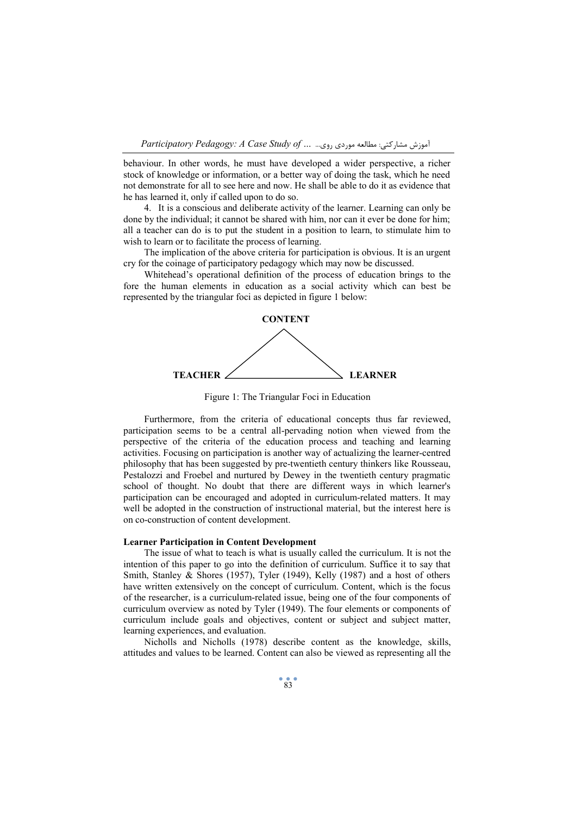behaviour. In other words, he must have developed a wider perspective, a richer stock of knowledge or information, or a better way of doing the task, which he need not demonstrate for all to see here and now. He shall be able to do it as evidence that he has learned it, only if called upon to do so.

4. It is a conscious and deliberate activity of the learner. Learning can only be done by the individual; it cannot be shared with him, nor can it ever be done for him; all a teacher can do is to put the student in a position to learn, to stimulate him to wish to learn or to facilitate the process of learning.

The implication of the above criteria for participation is obvious. It is an urgent cry for the coinage of participatory pedagogy which may now be discussed.

Whitehead's operational definition of the process of education brings to the fore the human elements in education as a social activity which can best be represented by the triangular foci as depicted in figure 1 below:



Figure 1: The Triangular Foci in Education

Furthermore, from the criteria of educational concepts thus far reviewed. participation seems to be a central all-pervading notion when viewed from the perspective of the criteria of the education process and teaching and learning activities. Focusing on participation is another way of actualizing the learner-centred philosophy that has been suggested by pre-twentieth century thinkers like Rousseau, Pestalozzi and Froebel and nurtured by Dewey in the twentieth century pragmatic school of thought. No doubt that there are different ways in which learner's participation can be encouraged and adopted in curriculum-related matters. It may well be adopted in the construction of instructional material, but the interest here is on co-construction of content development.

#### **Learner Participation in Content Development**

The issue of what to teach is what is usually called the curriculum. It is not the intention of this paper to go into the definition of curriculum. Suffice it to say that Smith, Stanley & Shores (1957), Tyler (1949), Kelly (1987) and a host of others have written extensively on the concept of curriculum. Content, which is the focus of the researcher, is a curriculum-related issue, being one of the four components of curriculum overview as noted by Tyler (1949). The four elements or components of curriculum include goals and objectives, content or subject and subject matter, learning experiences, and evaluation.

Nicholls and Nicholls (1978) describe content as the knowledge, skills, attitudes and values to be learned. Content can also be viewed as representing all the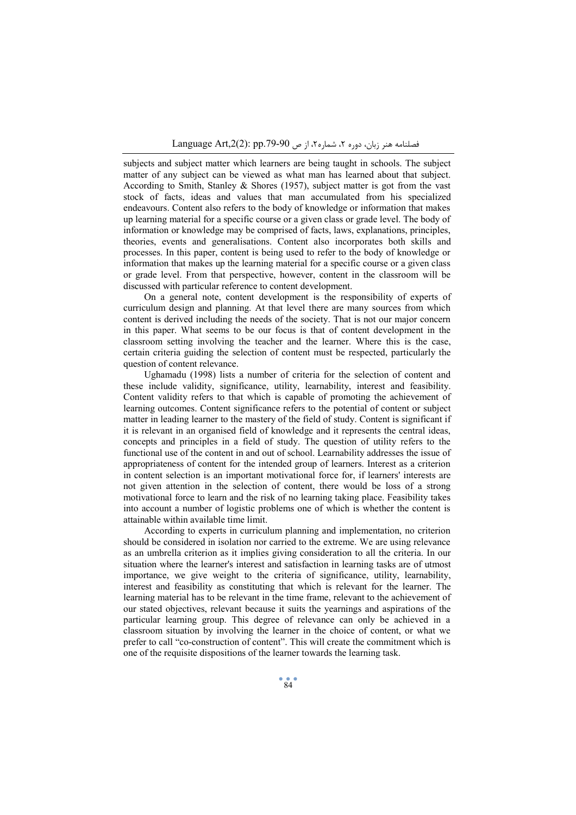subjects and subject matter which learners are being taught in schools. The subject matter of any subject can be viewed as what man has learned about that subject. According to Smith, Stanley & Shores (1957), subject matter is got from the vast stock of facts, ideas and values that man accumulated from his specialized endeavours. Content also refers to the body of knowledge or information that makes up learning material for a specific course or a given class or grade level. The body of information or knowledge may be comprised of facts, laws, explanations, principles, theories, events and generalisations. Content also incorporates both skills and processes. In this paper, content is being used to refer to the body of knowledge or information that makes up the learning material for a specific course or a given class or grade level. From that perspective, however, content in the classroom will be discussed with particular reference to content development.

On a general note, content development is the responsibility of experts of curriculum design and planning. At that level there are many sources from which content is derived including the needs of the society. That is not our major concern in this paper. What seems to be our focus is that of content development in the classroom setting involving the teacher and the learner. Where this is the case, certain criteria guiding the selection of content must be respected, particularly the question of content relevance.

Ughamadu (1998) lists a number of criteria for the selection of content and these include validity, significance, utility, learnability, interest and feasibility. Content validity refers to that which is capable of promoting the achievement of learning outcomes. Content significance refers to the potential of content or subject matter in leading learner to the mastery of the field of study. Content is significant if it is relevant in an organised field of knowledge and it represents the central ideas, concepts and principles in a field of study. The question of utility refers to the functional use of the content in and out of school. Learnability addresses the issue of appropriateness of content for the intended group of learners. Interest as a criterion in content selection is an important motivational force for, if learners' interests are not given attention in the selection of content, there would be loss of a strong motivational force to learn and the risk of no learning taking place. Feasibility takes into account a number of logistic problems one of which is whether the content is attainable within available time limit.

According to experts in curriculum planning and implementation, no criterion should be considered in isolation nor carried to the extreme. We are using relevance as an umbrella criterion as it implies giving consideration to all the criteria. In our situation where the learner's interest and satisfaction in learning tasks are of utmost importance, we give weight to the criteria of significance, utility, learnability, interest and feasibility as constituting that which is relevant for the learner. The learning material has to be relevant in the time frame, relevant to the achievement of our stated objectives, relevant because it suits the yearnings and aspirations of the particular learning group. This degree of relevance can only be achieved in a classroom situation by involving the learner in the choice of content, or what we prefer to call "co-construction of content". This will create the commitment which is one of the requisite dispositions of the learner towards the learning task.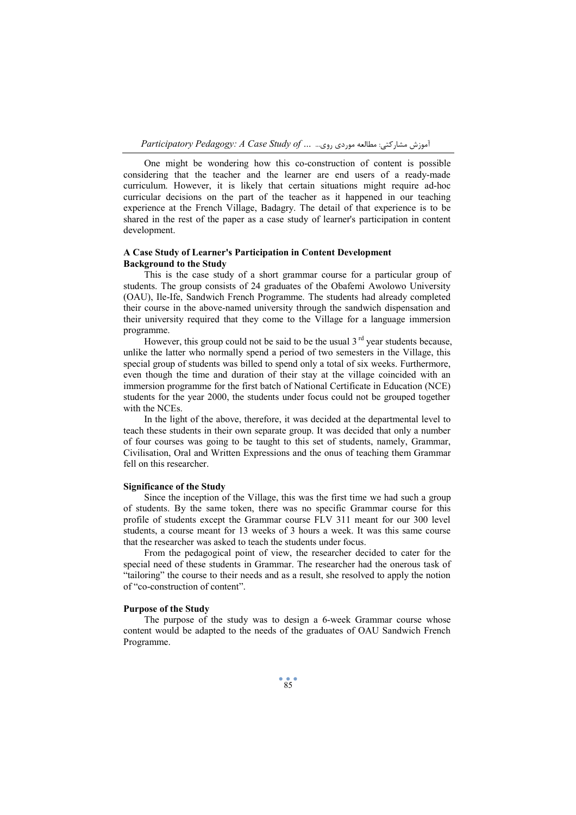One might be wondering how this co-construction of content is possible considering that the teacher and the learner are end users of a ready-made curriculum. However, it is likely that certain situations might require ad-hoc curricular decisions on the part of the teacher as it happened in our teaching experience at the French Village, Badagry. The detail of that experience is to be shared in the rest of the paper as a case study of learner's participation in content development.

## **A Case Study of Learner's Participation in Content Development Background to the Study**

This is the case study of a short grammar course for a particular group of students. The group consists of 24 graduates of the Obafemi Awolowo University (OAU), Ile-Ife, Sandwich French Programme. The students had already completed their course in the above-named university through the sandwich dispensation and their university required that they come to the Village for a language immersion programme.

However, this group could not be said to be the usual  $3<sup>rd</sup>$  year students because, unlike the latter who normally spend a period of two semesters in the Village, this special group of students was billed to spend only a total of six weeks. Furthermore, even though the time and duration of their stay at the village coincided with an immersion programme for the first batch of National Certificate in Education (NCE) students for the year 2000, the students under focus could not be grouped together with the NCEs.

In the light of the above, therefore, it was decided at the departmental level to teach these students in their own separate group. It was decided that only a number of four courses was going to be taught to this set of students, namely, Grammar, Civilisation, Oral and Written Expressions and the onus of teaching them Grammar fell on this researcher.

#### **Significance of the Study**

Since the inception of the Village, this was the first time we had such a group of students. By the same token, there was no specific Grammar course for this profile of students except the Grammar course FLV 311 meant for our 300 level students, a course meant for 13 weeks of 3 hours a week. It was this same course that the researcher was asked to teach the students under focus.

From the pedagogical point of view, the researcher decided to cater for the special need of these students in Grammar. The researcher had the onerous task of "tailoring" the course to their needs and as a result, she resolved to apply the notion of "co-construction of content".

#### **Purpose of the Study**

The purpose of the study was to design a 6-week Grammar course whose content would be adapted to the needs of the graduates of OAU Sandwich French Programme.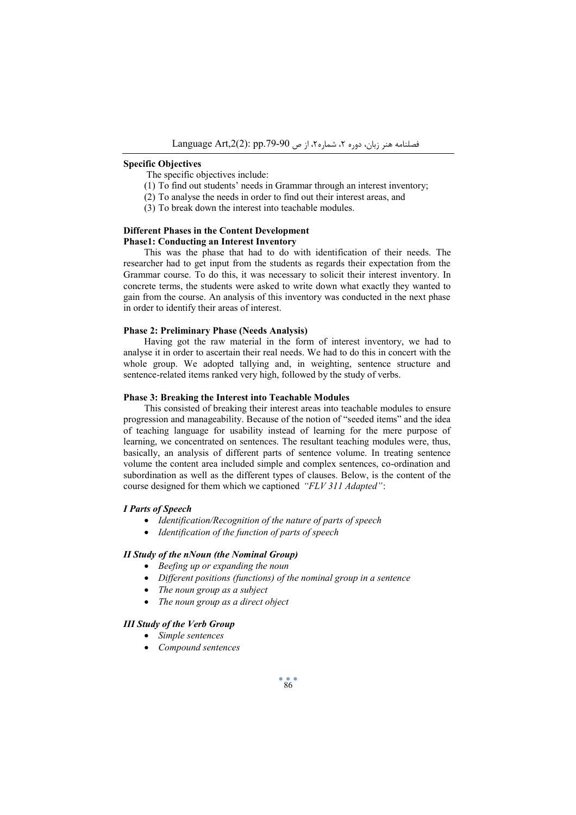#### **Specific Objectives**

The specific objectives include:

- (1) To find out students' needs in Grammar through an interest inventory;
- (2) To analyse the needs in order to find out their interest areas, and
- (3) To break down the interest into teachable modules.

#### **Different Phases in the Content Development Phase1: Conducting an Interest Inventory**

This was the phase that had to do with identification of their needs. The researcher had to get input from the students as regards their expectation from the Grammar course. To do this, it was necessary to solicit their interest inventory. In concrete terms, the students were asked to write down what exactly they wanted to gain from the course. An analysis of this inventory was conducted in the next phase in order to identify their areas of interest.

#### **Phase 2: Preliminary Phase (Needs Analysis)**

Having got the raw material in the form of interest inventory, we had to analyse it in order to ascertain their real needs. We had to do this in concert with the whole group. We adopted tallying and, in weighting, sentence structure and sentence-related items ranked very high, followed by the study of verbs.

## **Phase 3: Breaking the Interest into Teachable Modules**

This consisted of breaking their interest areas into teachable modules to ensure progression and manageability. Because of the notion of "seeded items" and the idea of teaching language for usability instead of learning for the mere purpose of learning, we concentrated on sentences. The resultant teaching modules were, thus, basically, an analysis of different parts of sentence volume. In treating sentence volume the content area included simple and complex sentences, co-ordination and subordination as well as the different types of clauses. Below, is the content of the course designed for them which we captioned *"FLV 311 Adapted"*:

#### *I Parts of Speech*

- · *Identification/Recognition of the nature of parts of speech*
- · *Identification of the function of parts of speech*

#### *II Study of the nNoun (the Nominal Group)*

- · *Beefing up or expanding the noun*
- · *Different positions (functions) of the nominal group in a sentence*
- · *The noun group as a subject*
- · *The noun group as a direct object*

#### *III Study of the Verb Group*

- · *Simple sentences*
- · *Compound sentences*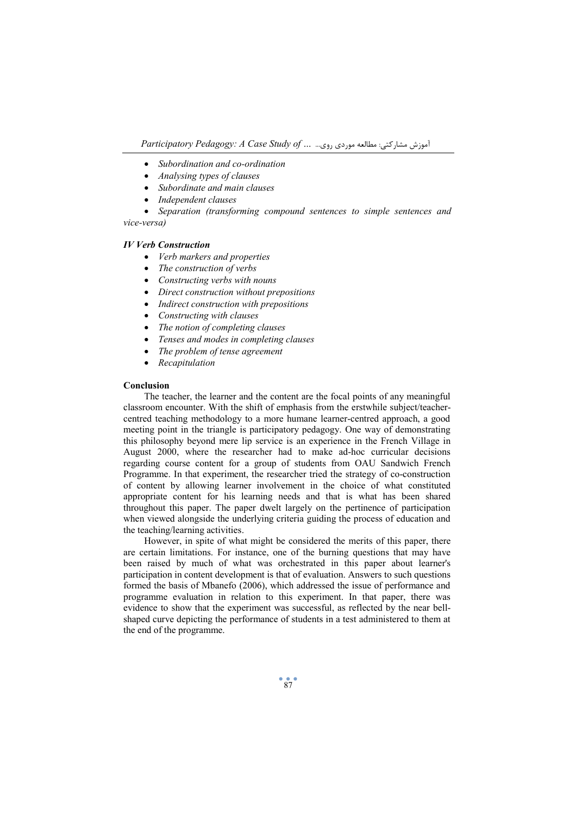*Participatory Pedagogy: A Case Study of …* ...روي موردي مطالعه :مشارکتی آموزش

- · *Subordination and co-ordination*
- · *Analysing types of clauses*
- · *Subordinate and main clauses*
- · *Independent clauses*

· *Separation (transforming compound sentences to simple sentences and vice-versa)* 

#### *IV Verb Construction*

- · *Verb markers and properties*
- · *The construction of verbs*
- · *Constructing verbs with nouns*
- · *Direct construction without prepositions*
- · *Indirect construction with prepositions*
- · *Constructing with clauses*
- · *The notion of completing clauses*
- · *Tenses and modes in completing clauses*
- · *The problem of tense agreement*
- · *Recapitulation*

#### **Conclusion**

The teacher, the learner and the content are the focal points of any meaningful classroom encounter. With the shift of emphasis from the erstwhile subject/teachercentred teaching methodology to a more humane learner-centred approach, a good meeting point in the triangle is participatory pedagogy. One way of demonstrating this philosophy beyond mere lip service is an experience in the French Village in August 2000, where the researcher had to make ad-hoc curricular decisions regarding course content for a group of students from OAU Sandwich French Programme. In that experiment, the researcher tried the strategy of co-construction of content by allowing learner involvement in the choice of what constituted appropriate content for his learning needs and that is what has been shared throughout this paper. The paper dwelt largely on the pertinence of participation when viewed alongside the underlying criteria guiding the process of education and the teaching/learning activities.

However, in spite of what might be considered the merits of this paper, there are certain limitations. For instance, one of the burning questions that may have been raised by much of what was orchestrated in this paper about learner's participation in content development is that of evaluation. Answers to such questions formed the basis of Mbanefo (2006), which addressed the issue of performance and programme evaluation in relation to this experiment. In that paper, there was evidence to show that the experiment was successful, as reflected by the near bellshaped curve depicting the performance of students in a test administered to them at the end of the programme.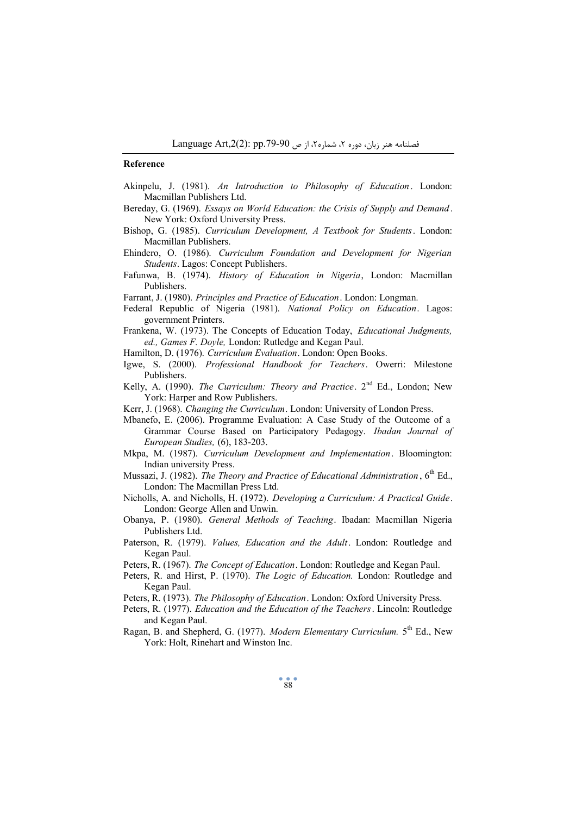#### **Reference**

- Akinpelu, J. (1981). *An Introduction to Philosophy of Education* . London: Macmillan Publishers Ltd.
- Bereday, G. (1969). *Essays on World Education: the Crisis of Supply and Demand* . New York: Oxford University Press.
- Bishop, G. (1985). *Curriculum Development, A Textbook for Students*. London: Macmillan Publishers.
- Ehindero, O. (1986). *Curriculum Foundation and Development for Nigerian Students*. Lagos: Concept Publishers.
- Fafunwa, B. (1974). *History of Education in Nigeria*, London: Macmillan Publishers.
- Farrant, J. (1980). *Principles and Practice of Education*. London: Longman.
- Federal Republic of Nigeria (1981). *National Policy on Education*. Lagos: government Printers.
- Frankena, W. (1973). The Concepts of Education Today, *Educational Judgments, ed., Games F. Doyle,* London: Rutledge and Kegan Paul.
- Hamilton, D. (1976). *Curriculum Evaluation*. London: Open Books.
- Igwe, S. (2000). *Professional Handbook for Teachers*. Owerri: Milestone Publishers.
- Kelly, A. (1990). *The Curriculum: Theory and Practice*. 2nd Ed., London; New York: Harper and Row Publishers.
- Kerr, J. (1968). *Changing the Curriculum*. London: University of London Press.
- Mbanefo, E. (2006). Programme Evaluation: A Case Study of the Outcome of a Grammar Course Based on Participatory Pedagogy. *Ibadan Journal of European Studies,* (6), 183-203.
- Mkpa, M. (1987). *Curriculum Development and Implementation*. Bloomington: Indian university Press.
- Mussazi, J. (1982). *The Theory and Practice of Educational Administration* , 6th Ed., London: The Macmillan Press Ltd.
- Nicholls, A. and Nicholls, H. (1972). *Developing a Curriculum: A Practical Guide*. London: George Allen and Unwin.
- Obanya, P. (1980). *General Methods of Teaching*. Ibadan: Macmillan Nigeria Publishers Ltd.
- Paterson, R. (1979). *Values, Education and the Adult*. London: Routledge and Kegan Paul.
- Peters, R. (1967). *The Concept of Education*. London: Routledge and Kegan Paul.
- Peters, R. and Hirst, P. (1970). *The Logic of Education.* London: Routledge and Kegan Paul.
- Peters, R. (1973). *The Philosophy of Education*. London: Oxford University Press.
- Peters, R. (1977). *Education and the Education of the Teachers*. Lincoln: Routledge and Kegan Paul.
- Ragan, B. and Shepherd, G. (1977). *Modern Elementary Curriculum.* 5th Ed., New York: Holt, Rinehart and Winston Inc.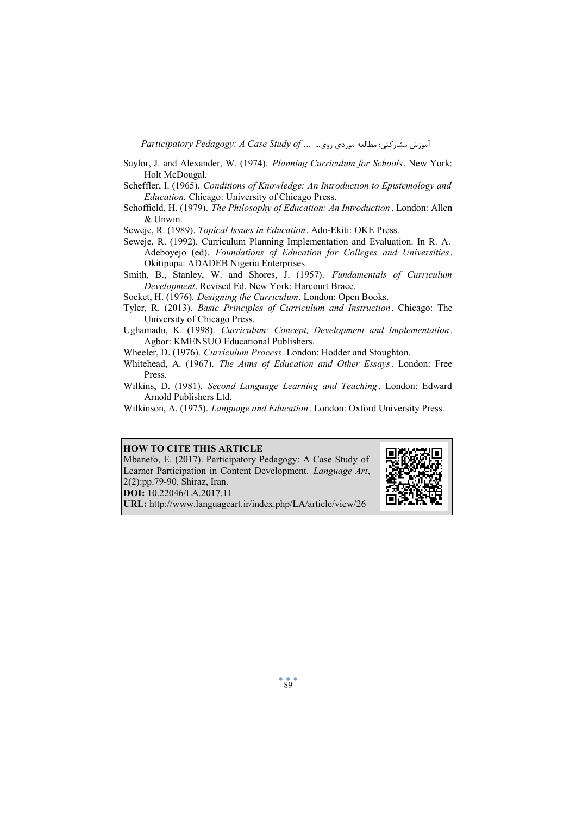*Participatory Pedagogy: A Case Study of …* ...روي موردي مطالعه :مشارکتی آموزش

Saylor, J. and Alexander, W. (1974). *Planning Curriculum for Schools*. New York: Holt McDougal.

- Scheffler, I. (1965). *Conditions of Knowledge: An Introduction to Epistemology and Education.* Chicago: University of Chicago Press.
- Schoffield, H. (1979). *The Philosophy of Education: An Introduction* . London: Allen & Unwin.

Seweje, R. (1989). *Topical Issues in Education*. Ado-Ekiti: OKE Press.

Seweje, R. (1992). Curriculum Planning Implementation and Evaluation. In R. A. Adeboyejo (ed). *Foundations of Education for Colleges and Universities*. Okitipupa: ADADEB Nigeria Enterprises.

Smith, B., Stanley, W. and Shores, J. (1957). *Fundamentals of Curriculum Development*. Revised Ed. New York: Harcourt Brace.

Socket, H. (1976). *Designing the Curriculum*. London: Open Books.

Tyler, R. (2013). *Basic Principles of Curriculum and Instruction*. Chicago: The University of Chicago Press.

Ughamadu, K. (1998). *Curriculum: Concept, Development and Implementation*. Agbor: KMENSUO Educational Publishers.

- Wheeler, D. (1976). *Curriculum Process*. London: Hodder and Stoughton.
- Whitehead, A. (1967). *The Aims of Education and Other Essays*. London: Free Press.
- Wilkins, D. (1981). *Second Language Learning and Teaching* . London: Edward Arnold Publishers Ltd.
- Wilkinson, A. (1975). *Language and Education*. London: Oxford University Press.

## **HOW TO CITE THIS ARTICLE**

Mbanefo, E. (2017). Participatory Pedagogy: A Case Study of Learner Participation in Content Development. *Language Art*, 2(2):pp.79-90, Shiraz, Iran. **DOI:** 10.22046/LA.2017.11

**URL:** http://www.languageart.ir/index.php/LA/article/view/26